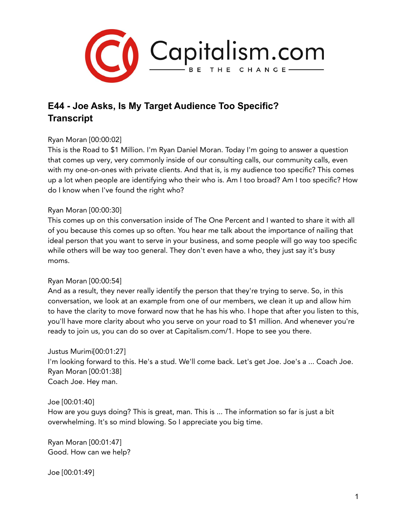

# **E44 - Joe Asks, Is My Target Audience Too Specific? Transcript**

# Ryan Moran [00:00:02]

This is the Road to \$1 Million. I'm Ryan Daniel Moran. Today I'm going to answer a question that comes up very, very commonly inside of our consulting calls, our community calls, even with my one-on-ones with private clients. And that is, is my audience too specific? This comes up a lot when people are identifying who their who is. Am I too broad? Am I too specific? How do I know when I've found the right who?

# Ryan Moran [00:00:30]

This comes up on this conversation inside of The One Percent and I wanted to share it with all of you because this comes up so often. You hear me talk about the importance of nailing that ideal person that you want to serve in your business, and some people will go way too specific while others will be way too general. They don't even have a who, they just say it's busy moms.

# Ryan Moran [00:00:54]

And as a result, they never really identify the person that they're trying to serve. So, in this conversation, we look at an example from one of our members, we clean it up and allow him to have the clarity to move forward now that he has his who. I hope that after you listen to this, you'll have more clarity about who you serve on your road to \$1 million. And whenever you're ready to join us, you can do so over at Capitalism.com/1. Hope to see you there.

Justus Murimi[00:01:27] I'm looking forward to this. He's a stud. We'll come back. Let's get Joe. Joe's a ... Coach Joe. Ryan Moran [00:01:38] Coach Joe. Hey man.

# Joe [00:01:40]

How are you guys doing? This is great, man. This is ... The information so far is just a bit overwhelming. It's so mind blowing. So I appreciate you big time.

Ryan Moran [00:01:47] Good. How can we help?

Joe [00:01:49]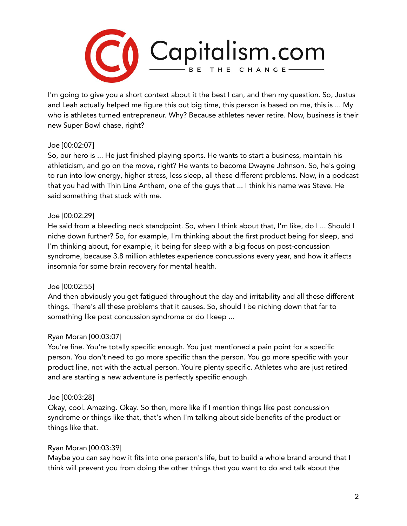

I'm going to give you a short context about it the best I can, and then my question. So, Justus and Leah actually helped me figure this out big time, this person is based on me, this is ... My who is athletes turned entrepreneur. Why? Because athletes never retire. Now, business is their new Super Bowl chase, right?

# Joe [00:02:07]

So, our hero is ... He just finished playing sports. He wants to start a business, maintain his athleticism, and go on the move, right? He wants to become Dwayne Johnson. So, he's going to run into low energy, higher stress, less sleep, all these different problems. Now, in a podcast that you had with Thin Line Anthem, one of the guys that ... I think his name was Steve. He said something that stuck with me.

# Joe [00:02:29]

He said from a bleeding neck standpoint. So, when I think about that, I'm like, do I ... Should I niche down further? So, for example, I'm thinking about the first product being for sleep, and I'm thinking about, for example, it being for sleep with a big focus on post-concussion syndrome, because 3.8 million athletes experience concussions every year, and how it affects insomnia for some brain recovery for mental health.

# Joe [00:02:55]

And then obviously you get fatigued throughout the day and irritability and all these different things. There's all these problems that it causes. So, should I be niching down that far to something like post concussion syndrome or do I keep ...

# Ryan Moran [00:03:07]

You're fine. You're totally specific enough. You just mentioned a pain point for a specific person. You don't need to go more specific than the person. You go more specific with your product line, not with the actual person. You're plenty specific. Athletes who are just retired and are starting a new adventure is perfectly specific enough.

# Joe [00:03:28]

Okay, cool. Amazing. Okay. So then, more like if I mention things like post concussion syndrome or things like that, that's when I'm talking about side benefits of the product or things like that.

# Ryan Moran [00:03:39]

Maybe you can say how it fits into one person's life, but to build a whole brand around that I think will prevent you from doing the other things that you want to do and talk about the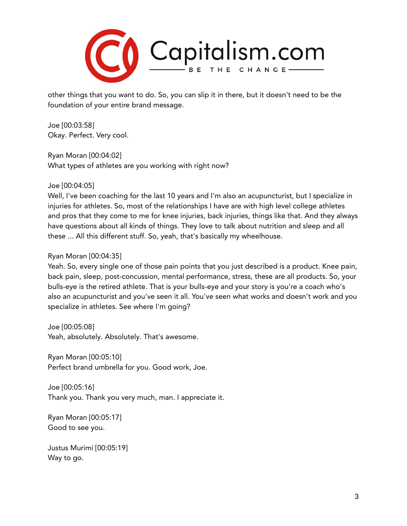

other things that you want to do. So, you can slip it in there, but it doesn't need to be the foundation of your entire brand message.

Joe [00:03:58] Okay. Perfect. Very cool.

Ryan Moran [00:04:02] What types of athletes are you working with right now?

# Joe [00:04:05]

Well, I've been coaching for the last 10 years and I'm also an acupuncturist, but I specialize in injuries for athletes. So, most of the relationships I have are with high level college athletes and pros that they come to me for knee injuries, back injuries, things like that. And they always have questions about all kinds of things. They love to talk about nutrition and sleep and all these ... All this different stuff. So, yeah, that's basically my wheelhouse.

# Ryan Moran [00:04:35]

Yeah. So, every single one of those pain points that you just described is a product. Knee pain, back pain, sleep, post-concussion, mental performance, stress, these are all products. So, your bulls-eye is the retired athlete. That is your bulls-eye and your story is you're a coach who's also an acupuncturist and you've seen it all. You've seen what works and doesn't work and you specialize in athletes. See where I'm going?

Joe [00:05:08] Yeah, absolutely. Absolutely. That's awesome.

Ryan Moran [00:05:10] Perfect brand umbrella for you. Good work, Joe.

Joe [00:05:16] Thank you. Thank you very much, man. I appreciate it.

Ryan Moran [00:05:17] Good to see you.

Justus Murimi [00:05:19] Way to go.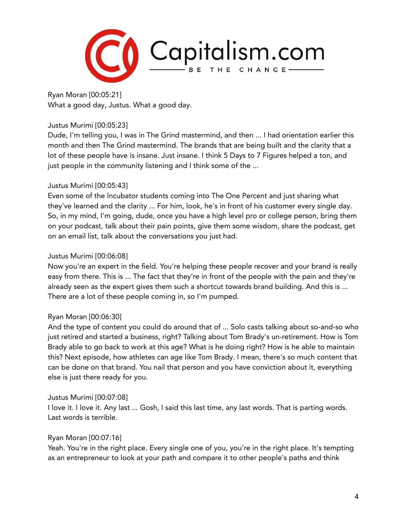

Ryan Moran [00:05:21] What a good day, Justus. What a good day.

# Justus Murimi [00:05:23]

Dude, I'm telling you, I was in The Grind mastermind, and then ... I had orientation earlier this month and then The Grind mastermind. The brands that are being built and the clarity that a lot of these people have is insane. Just insane. I think 5 Days to 7 Figures helped a ton, and just people in the community listening and I think some of the ...

# Justus Murimi [00:05:43]

Even some of the Incubator students coming into The One Percent and just sharing what they've learned and the clarity ... For him, look, he's in front of his customer every single day. So, in my mind, I'm going, dude, once you have a high level pro or college person, bring them on your podcast, talk about their pain points, give them some wisdom, share the podcast, get on an email list, talk about the conversations you just had.

# Justus Murimi [00:06:08]

Now you're an expert in the field. You're helping these people recover and your brand is really easy from there. This is ... The fact that they're in front of the people with the pain and they're already seen as the expert gives them such a shortcut towards brand building. And this is ... There are a lot of these people coming in, so I'm pumped.

# Ryan Moran [00:06:30]

And the type of content you could do around that of ... Solo casts talking about so-and-so who just retired and started a business, right? Talking about Tom Brady's un-retirement. How is Tom Brady able to go back to work at this age? What is he doing right? How is he able to maintain this? Next episode, how athletes can age like Tom Brady. I mean, there's so much content that can be done on that brand. You nail that person and you have conviction about it, everything else is just there ready for you.

# Justus Murimi [00:07:08]

I love it. I love it. Any last ... Gosh, I said this last time, any last words. That is parting words. Last words is terrible.

# Ryan Moran [00:07:16]

Yeah. You're in the right place. Every single one of you, you're in the right place. It's tempting as an entrepreneur to look at your path and compare it to other people's paths and think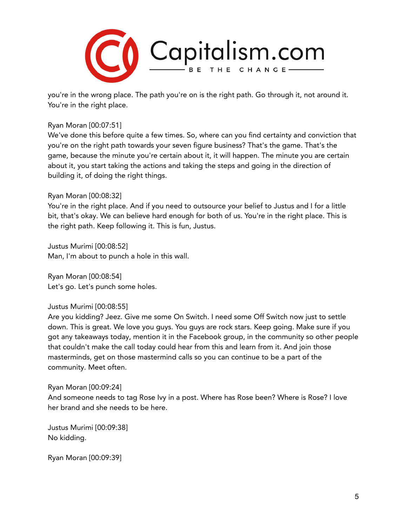

you're in the wrong place. The path you're on is the right path. Go through it, not around it. You're in the right place.

# Ryan Moran [00:07:51]

We've done this before quite a few times. So, where can you find certainty and conviction that you're on the right path towards your seven figure business? That's the game. That's the game, because the minute you're certain about it, it will happen. The minute you are certain about it, you start taking the actions and taking the steps and going in the direction of building it, of doing the right things.

#### Ryan Moran [00:08:32]

You're in the right place. And if you need to outsource your belief to Justus and I for a little bit, that's okay. We can believe hard enough for both of us. You're in the right place. This is the right path. Keep following it. This is fun, Justus.

Justus Murimi [00:08:52] Man, I'm about to punch a hole in this wall.

Ryan Moran [00:08:54] Let's go. Let's punch some holes.

#### Justus Murimi [00:08:55]

Are you kidding? Jeez. Give me some On Switch. I need some Off Switch now just to settle down. This is great. We love you guys. You guys are rock stars. Keep going. Make sure if you got any takeaways today, mention it in the Facebook group, in the community so other people that couldn't make the call today could hear from this and learn from it. And join those masterminds, get on those mastermind calls so you can continue to be a part of the community. Meet often.

#### Ryan Moran [00:09:24]

And someone needs to tag Rose Ivy in a post. Where has Rose been? Where is Rose? I love her brand and she needs to be here.

Justus Murimi [00:09:38] No kidding.

Ryan Moran [00:09:39]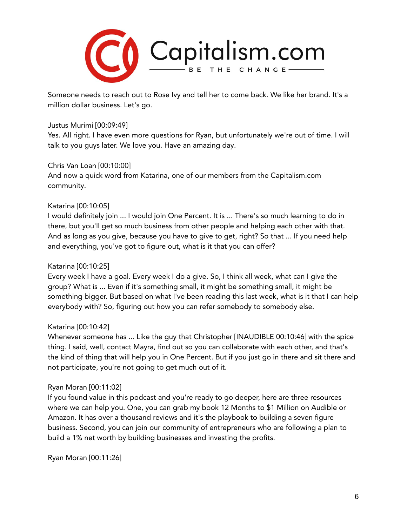

Someone needs to reach out to Rose Ivy and tell her to come back. We like her brand. It's a million dollar business. Let's go.

# Justus Murimi [00:09:49]

Yes. All right. I have even more questions for Ryan, but unfortunately we're out of time. I will talk to you guys later. We love you. Have an amazing day.

# Chris Van Loan [00:10:00]

And now a quick word from Katarina, one of our members from the Capitalism.com community.

# Katarina [00:10:05]

I would definitely join ... I would join One Percent. It is ... There's so much learning to do in there, but you'll get so much business from other people and helping each other with that. And as long as you give, because you have to give to get, right? So that ... If you need help and everything, you've got to figure out, what is it that you can offer?

# Katarina [00:10:25]

Every week I have a goal. Every week I do a give. So, I think all week, what can I give the group? What is ... Even if it's something small, it might be something small, it might be something bigger. But based on what I've been reading this last week, what is it that I can help everybody with? So, figuring out how you can refer somebody to somebody else.

# Katarina [00:10:42]

Whenever someone has ... Like the guy that Christopher [INAUDIBLE 00:10:46] with the spice thing. I said, well, contact Mayra, find out so you can collaborate with each other, and that's the kind of thing that will help you in One Percent. But if you just go in there and sit there and not participate, you're not going to get much out of it.

# Ryan Moran [00:11:02]

If you found value in this podcast and you're ready to go deeper, here are three resources where we can help you. One, you can grab my book 12 Months to \$1 Million on Audible or Amazon. It has over a thousand reviews and it's the playbook to building a seven figure business. Second, you can join our community of entrepreneurs who are following a plan to build a 1% net worth by building businesses and investing the profits.

Ryan Moran [00:11:26]